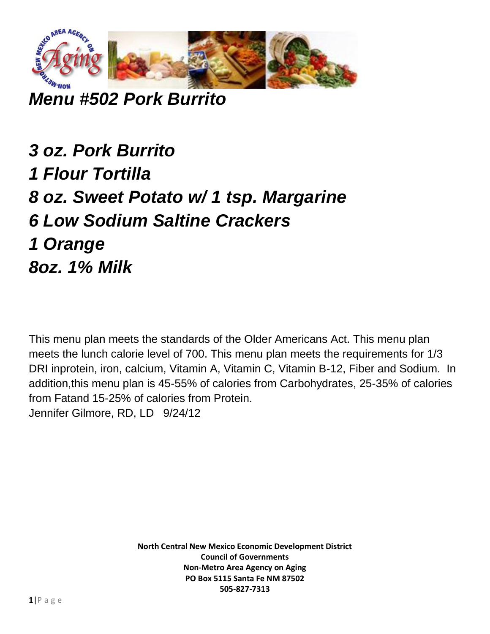

*Menu #502 Pork Burrito*

*3 oz. Pork Burrito 1 Flour Tortilla 8 oz. Sweet Potato w/ 1 tsp. Margarine 6 Low Sodium Saltine Crackers 1 Orange 8oz. 1% Milk*

This menu plan meets the standards of the Older Americans Act. This menu plan meets the lunch calorie level of 700. This menu plan meets the requirements for 1/3 DRI inprotein, iron, calcium, Vitamin A, Vitamin C, Vitamin B-12, Fiber and Sodium. In addition,this menu plan is 45-55% of calories from Carbohydrates, 25-35% of calories from Fatand 15-25% of calories from Protein. Jennifer Gilmore, RD, LD 9/24/12

> **North Central New Mexico Economic Development District Council of Governments Non-Metro Area Agency on Aging PO Box 5115 Santa Fe NM 87502 505-827-7313**